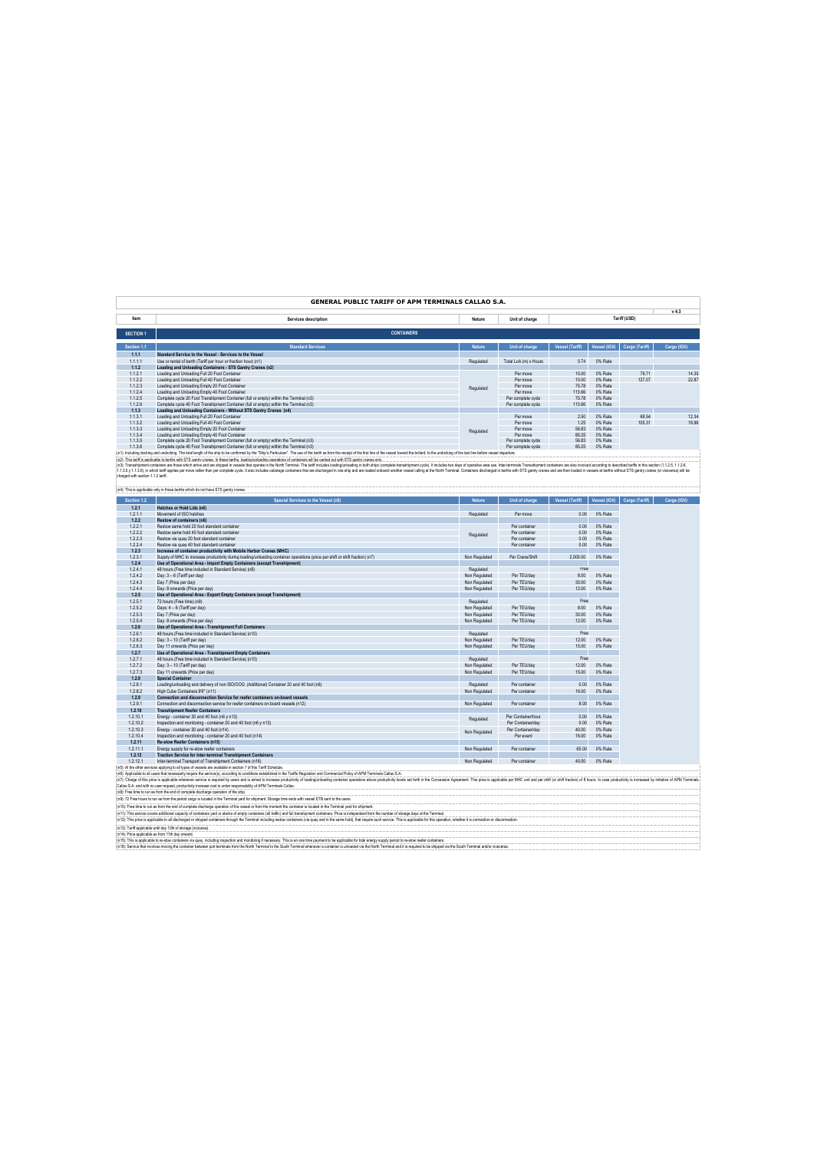|                                    | <b>GENERAL PUBLIC TARIFF OF APM TERMINALS CALLAO S.A.</b>                                                                                                                                                                      |           |                       |                        |                     |                |             |
|------------------------------------|--------------------------------------------------------------------------------------------------------------------------------------------------------------------------------------------------------------------------------|-----------|-----------------------|------------------------|---------------------|----------------|-------------|
|                                    |                                                                                                                                                                                                                                |           |                       |                        |                     |                | $v$ 4.3     |
| <b>Item</b>                        | Services description                                                                                                                                                                                                           | Nature    | Unit of charge        |                        |                     | Tariff (USD)   |             |
|                                    |                                                                                                                                                                                                                                |           |                       |                        |                     |                |             |
| <b>SECTION 1</b>                   | <b>CONTAINERS</b>                                                                                                                                                                                                              |           |                       |                        |                     |                |             |
| Section 1.1                        | <b>Standard Services</b>                                                                                                                                                                                                       | Nature    | Unit of charge        | <b>Vessel (Tariff)</b> | <b>Vessel (IGV)</b> | Cargo (Tariff) | Cargo (IGV) |
| 1.1.1                              | Standard Service to the Vessel - Services to the Vessel                                                                                                                                                                        |           |                       |                        |                     |                |             |
| 1111                               | Use or rental of berth (Tariff per hour or fraction hour) (n1)                                                                                                                                                                 | Regulated | Total LoA (m) x Hours | 0.74                   | 0% Rate             |                |             |
| 1.1.2                              | Loading and Unloading Containers - STS Gantry Cranes (n2)                                                                                                                                                                      |           |                       |                        |                     |                |             |
| 1121                               | Loading and Unloading Full 20 Foot Container                                                                                                                                                                                   |           | Per move              | 15.00                  | 0% Rate             | 79.71          | 14.35       |
| 1122                               | Loading and Unloading Full 40 Foot Container                                                                                                                                                                                   |           | Per move              | 15.00                  | 0% Rate             | 127 07         | 22.87       |
| 1.1.2.3                            | Loading and Unloading Empty 20 Foot Container                                                                                                                                                                                  | Regulated | Per move              | 75.78                  | 0% Rate             |                |             |
| 1.1.2.4                            | Loading and Unloading Empty 40 Foot Container                                                                                                                                                                                  |           | Per move              | 113.66                 | 0% Rate             |                |             |
| 1125                               | Complete cycle 20 Engt Transhipment Container (full or empty) within the Terminal (n3)                                                                                                                                         |           | Per complete cycle    | 75.78                  | 0% Rate             |                |             |
| 1.1.2.6                            | Complete cycle 40 Foot Transhipment Container (full or empty) within the Terminal (n3)                                                                                                                                         |           | Per complete cycle    | 113.66                 | 0% Rate             |                |             |
| 1.1.3                              | Loading and Unloading Containers - Without STS Gantry Cranes (n4)                                                                                                                                                              |           |                       |                        |                     |                |             |
| 1131                               | Loading and Unloading Full 20 Engl Container                                                                                                                                                                                   |           | Per move              | 2.50                   | 0% Rate             | 68.54          | 12.34       |
| 1132                               | Loading and Unloading Full 40 Foot Container                                                                                                                                                                                   |           | Per move              | 1 25                   | 0% Rate             | 105 31         | 18.96       |
| 1.1.3.3                            | Loading and Unloading Empty 20 Foot Container                                                                                                                                                                                  | Regulated | Per move              | 56.83                  | 0% Rate             |                |             |
| 1134                               | Loading and Unloading Empty 40 Egot Container                                                                                                                                                                                  |           | Per move              | 85 25                  | 0% Rate             |                |             |
| 1135                               | Complete cycle 20 Epot Transhipment Container (full or empty) within the Terminal (n3)                                                                                                                                         |           | Per complete cycle    | 56.83                  | 0% Rate             |                |             |
| 1136                               | Complete cycle 40 Foot Transhipment Container (full or empty) within the Terminal (n3)                                                                                                                                         |           | Per complete cycle    | 85.25                  | 0% Rate             |                |             |
|                                    | in 1): Including docking and undocking. The total length of the ship to be confirmed by the "Ship's Particulars". The use of the berth as from the receipt of the first line of the vessel toward the bollard, to the undockin |           |                       |                        |                     |                |             |
|                                    | (n2): This tariff is applicable to berths with STS gantry cranes. In these berths, loading/unloading coerations of containers will be carried out with STS gantry cranes only.                                                 |           |                       |                        |                     |                |             |
|                                    | (n3): Transshipment containers are those which anive and are shipped in vessels that operate in the North Terminal. The tariff includes loading/unloading in both ships (complete transshipment cycle). It includes are operat |           |                       |                        |                     |                |             |
| charged with section 1.1.2 tariff. | 1.1.3.5 y 1.1.3.6), in which tariff applies per move rather than per complete cycle. It also includes cabolage containers that are discharged in one ship and are loaded onboard another vessel calling at the North Terminal. |           |                       |                        |                     |                |             |
|                                    |                                                                                                                                                                                                                                |           |                       |                        |                     |                |             |
|                                    |                                                                                                                                                                                                                                |           |                       |                        |                     |                |             |
|                                    | (in4): This is applicable only in those berths which do not have STS gantry cranes.                                                                                                                                            |           |                       |                        |                     |                |             |

| Section 1.2 | fruit real of effectment nuck as method not an assess no service of the Henri Annual<br>Special Services to the Vessel (n5)                                                                                                                                                                                                                                                                                                                             | <b>Nature</b> | Unit of charge     | <b>Vessel (Tariff)</b> | Vessel (IGV) | Cargo (Tariff) | Carga (IGV) |
|-------------|---------------------------------------------------------------------------------------------------------------------------------------------------------------------------------------------------------------------------------------------------------------------------------------------------------------------------------------------------------------------------------------------------------------------------------------------------------|---------------|--------------------|------------------------|--------------|----------------|-------------|
| 1.2.1       | Hatches or Hold Lids (n6)                                                                                                                                                                                                                                                                                                                                                                                                                               |               |                    |                        |              |                |             |
| 1.2.1.1     | Movement of ISO hatches                                                                                                                                                                                                                                                                                                                                                                                                                                 | Regulated     | Per move           | 0.00                   | 0% Rate      |                |             |
| 1.2.2       | Restow of containers (n6)                                                                                                                                                                                                                                                                                                                                                                                                                               |               |                    |                        |              |                |             |
| 1.2.2.1     | Restow same hold 20 foot standard container                                                                                                                                                                                                                                                                                                                                                                                                             |               | Per container      | 0.00                   | 0% Rate      |                |             |
| 1222        | Restow same hold 40 foot standard container                                                                                                                                                                                                                                                                                                                                                                                                             |               | Per container      | 0.00                   | 0% Rate      |                |             |
| 1.2.2.3     | Restow via quay 20 foot standard container                                                                                                                                                                                                                                                                                                                                                                                                              | Regulated     | Per container      | 0.00                   | 0% Rate      |                |             |
| 1.2.2.4     | Restow via quay 40 foot standard container                                                                                                                                                                                                                                                                                                                                                                                                              |               | Per container      | 0.00                   | 0% Rate      |                |             |
| 1.2.3       | Increase of container productivity with Mobile Harbor Cranes (MHC)                                                                                                                                                                                                                                                                                                                                                                                      |               |                    |                        |              |                |             |
| 1.2.3.1     | Supply of MHC to increase productivity during loading/unloading container operations (price per shift or shift fraction) (n7)                                                                                                                                                                                                                                                                                                                           | Non Regulated | Per Crane/Shift    | 2.000.00               | 0% Rate      |                |             |
| 1.2.4       | Use of Operational Area - Import Empty Containers (except Transhipment)                                                                                                                                                                                                                                                                                                                                                                                 |               |                    |                        |              |                |             |
| 1.2.4.1     | 48 hours (Free time included in Standard Service) (n8)                                                                                                                                                                                                                                                                                                                                                                                                  | Regulated     |                    | Free                   |              |                |             |
| 1242        | Day: 3 - 6 (Tariff per day)                                                                                                                                                                                                                                                                                                                                                                                                                             | Non Regulated | Per TEU/day        | 8.00                   | 0% Rate      |                |             |
| 1.2.4.3     | Day 7 (Price per day)                                                                                                                                                                                                                                                                                                                                                                                                                                   | Non Regulated | Per TEU/day        | 30.00                  | 0% Rate      |                |             |
| 1244        | Day: 8 onwards (Price per day)                                                                                                                                                                                                                                                                                                                                                                                                                          | Non Regulated | Per TFI Mday       | 1200                   | 0% Rate      |                |             |
| 1.2.5       | Use of Operational Area - Export Empty Containers (except Transhipment)                                                                                                                                                                                                                                                                                                                                                                                 |               |                    |                        |              |                |             |
| 1.2.5.1     | 72 hours (Free time) (n9)                                                                                                                                                                                                                                                                                                                                                                                                                               | Regulated     |                    | Free                   |              |                |             |
| 1.2.5.2     | Days: 4 - 6 (Tariff per day)                                                                                                                                                                                                                                                                                                                                                                                                                            | Non Regulated | Per TEU/day        | 8.00                   | 0% Rate      |                |             |
| 1.2.5.3     | Day 7 (Price per day)                                                                                                                                                                                                                                                                                                                                                                                                                                   | Non Regulated | Per TEU/day        | 30.00                  | 0% Rate      |                |             |
| 1.2.5.4     | Day: 8 onwards (Price per day)                                                                                                                                                                                                                                                                                                                                                                                                                          | Non Regulated | Per TEU/day        | 12.00                  | 0% Rate      |                |             |
| 1.2.6       | Use of Operational Area - Transhipment Full Containers                                                                                                                                                                                                                                                                                                                                                                                                  |               |                    |                        |              |                |             |
| 1.2.6.1     | 48 hours (Free time included in Standard Service) (n10)                                                                                                                                                                                                                                                                                                                                                                                                 | Regulated     |                    | Free                   |              |                |             |
| 1.2.6.2     | Day: 3 - 10 (Tariff per day)                                                                                                                                                                                                                                                                                                                                                                                                                            | Non Regulated | Per TEU/day        | 12.00                  | 0% Rate      |                |             |
| 1263        | Day 11 onwards (Price per day)                                                                                                                                                                                                                                                                                                                                                                                                                          | Non Regulated | Per TEU/day        | 15.00                  | 0% Rate      |                |             |
| 1.2.7       | Use of Operational Area - Transhipment Empty Containers                                                                                                                                                                                                                                                                                                                                                                                                 |               |                    |                        |              |                |             |
| 1.2.7.1     | 48 hours (Free time included in Standard Service) (n10)                                                                                                                                                                                                                                                                                                                                                                                                 | Regulated     |                    | Free                   |              |                |             |
| 1272        | Day: 3 - 10 (Tariff per day)                                                                                                                                                                                                                                                                                                                                                                                                                            | Non Regulated | Per TEU/day        | 12.00                  | 0% Rate      |                |             |
| 1.2.7.3     | Day 11 onwards (Price per day)                                                                                                                                                                                                                                                                                                                                                                                                                          | Non Regulated | Per TEU/day        | 15.00                  | 0% Rate      |                |             |
| 1.2.8       | <b>Special Container</b>                                                                                                                                                                                                                                                                                                                                                                                                                                |               |                    |                        |              |                |             |
| 1.2.8.1     | Loading/unloading and delivery of non ISO/OOG (Additional) Container 20 and 40 foot (n6)                                                                                                                                                                                                                                                                                                                                                                | Regulated     | Per container      | 0.00                   | 0% Rate      |                |             |
| 1282        | High Cube Containers 9'6" (n11)                                                                                                                                                                                                                                                                                                                                                                                                                         | Non Regulated | Per container      | 16.00                  | 0% Rate      |                |             |
| 1.2.9       | Connection and disconnection Service for reefer containers on-board vessels                                                                                                                                                                                                                                                                                                                                                                             |               |                    |                        |              |                |             |
| 1.2.9.1     | Connection and disconnection service for reefer containers on-board vessels (n12)                                                                                                                                                                                                                                                                                                                                                                       | Non Regulated | Per container      | 8.00                   | 0% Rate      |                |             |
| 1.2.10      | <b>Transhipment Reefer Containers</b>                                                                                                                                                                                                                                                                                                                                                                                                                   |               |                    |                        |              |                |             |
| 1.2.10.1    | Energy - container 20 and 40 foot (n6 y n13)                                                                                                                                                                                                                                                                                                                                                                                                            |               | Per Container/hour | 0.00                   | 0% Rate      |                |             |
| 1.2.10.2    | Inspection and monitoring - container 20 and 40 foot (n6 v n13)                                                                                                                                                                                                                                                                                                                                                                                         | Regulated     | Per Container/day  | 0.00                   | 0% Rate      |                |             |
| 1.2.10.3    | Energy - container 20 and 40 foot (n14)                                                                                                                                                                                                                                                                                                                                                                                                                 |               | Per Container/day  | 40.00                  | 0% Rate      |                |             |
| 12104       | Inspection and monitoring - container 20 and 40 foot (n14)                                                                                                                                                                                                                                                                                                                                                                                              | Non Regulated | Per event          | 16.00                  | 0% Rate      |                |             |
| 1.2.11      | Re-stow Reefer Containers (n15)                                                                                                                                                                                                                                                                                                                                                                                                                         |               |                    |                        |              |                |             |
| 12111       | Energy supply for re-stow reefer containers                                                                                                                                                                                                                                                                                                                                                                                                             | Non Requisted | Per container      | 65.00                  | 0% Rate      |                |             |
| 1.2.12      | <b>Traction Service for Inter-terminal Transhipment Containers</b>                                                                                                                                                                                                                                                                                                                                                                                      |               |                    |                        |              |                |             |
| 1.2.12.1    | Inter-terminal Transport of Transhipment Containers (n16)                                                                                                                                                                                                                                                                                                                                                                                               | Non Regulated | Per container      | 40.00                  | 0% Rate      |                |             |
|             | (n5): Al the other services applying to all types of vessels are available in section 7 of this Tariff Schedule.                                                                                                                                                                                                                                                                                                                                        |               |                    |                        |              |                |             |
|             | (n6): Applicable to all users that necessarily require the service(s), according to conditions established in the Tariffs Requlation and Commercial Policy of APM Terminals Callao S.A.                                                                                                                                                                                                                                                                 |               |                    |                        |              |                |             |
|             | (n7): Charge of this price is applicable whenever service is required by users and is aimed to increase productivity of loading/unbading container operations above productivity levels set forth in the Concession Agreement.                                                                                                                                                                                                                          |               |                    |                        |              |                |             |
|             | Callao S.A. and with no user request, productivity increase cost is under responsability of APM Terminals Callao.                                                                                                                                                                                                                                                                                                                                       |               |                    |                        |              |                |             |
|             | (n8): Free time to run as from the end of complete discharge operation of the ship.                                                                                                                                                                                                                                                                                                                                                                     |               |                    |                        |              |                |             |
|             | (n9): 72 Free hours to run as from the period cargo is located in the Terminal yard for shipment. Storage time ends with vessel ETB sent to the users.                                                                                                                                                                                                                                                                                                  |               |                    |                        |              |                |             |
|             | (n10): Free time to run as from the end of complete discharge operation of the vessel or from the moment the container is located in the Terminal yard for shipment.                                                                                                                                                                                                                                                                                    |               |                    |                        |              |                |             |
|             |                                                                                                                                                                                                                                                                                                                                                                                                                                                         |               |                    |                        |              |                |             |
|             | (n11): This service covers additional capacity of containers yard or stacks of empty containers (all traffic) and full transhipment containers. Price is independant from the number of storage days at the Terminal.<br>In 12): This orice is acclicable to all discharged or shipped containers through the Terminal including restow containers (via guay and in the same hold), that require such service. This is applicable for this coeration, w |               |                    |                        |              |                |             |
|             | in13): Tariff applicable until day 10th of storage (inclusive).<br>in14): Price applicable as from 11th day onward.                                                                                                                                                                                                                                                                                                                                     |               |                    |                        |              |                |             |
|             | (n15): This is applicable to re-stow containers via quay, including inspection and monitoring if necessary. This is an one time payment to be applicable for total energy supply period to re-stow reefer containers.                                                                                                                                                                                                                                   |               |                    |                        |              |                |             |
|             | In 161: Service that involves moving the container between port terminals from the North Terminal to the South Terminal whenever a container is unloaded via the North Terminal and it is required to be shipped via the South                                                                                                                                                                                                                          |               |                    |                        |              |                |             |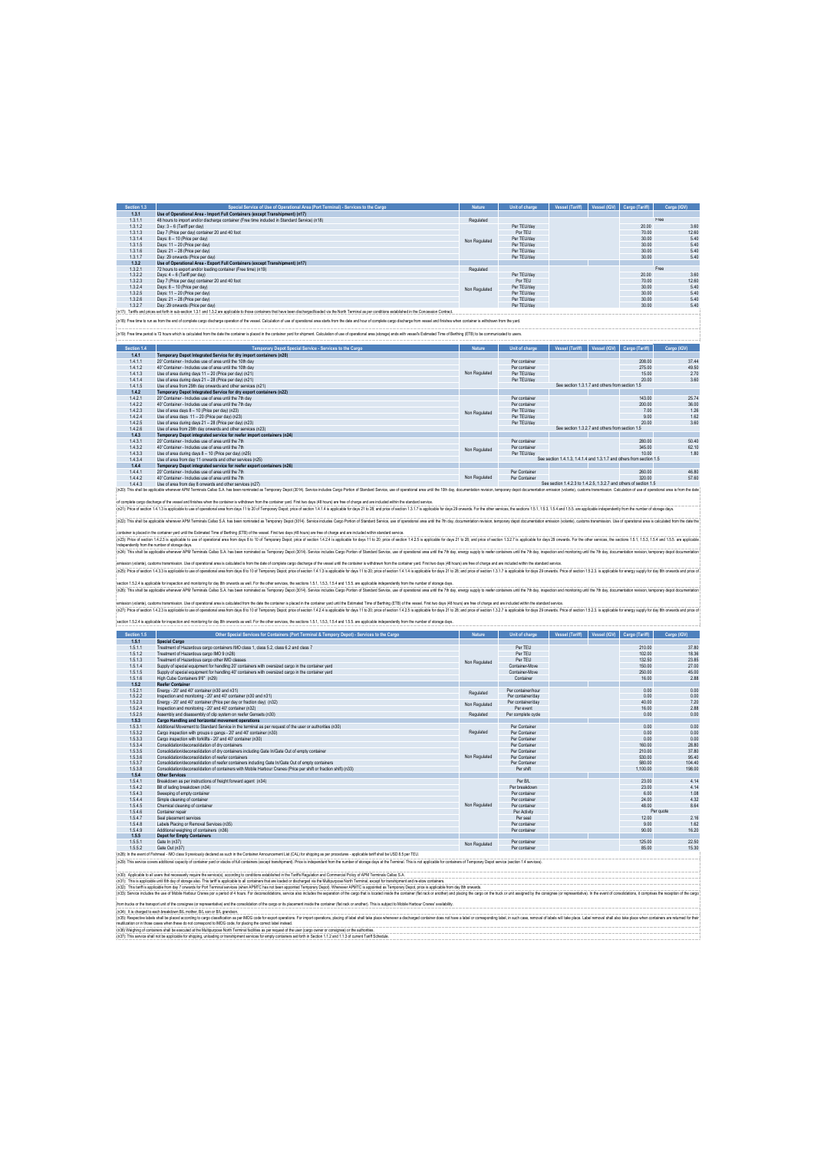| Section 1.3 | Special Service of Use of Operational Area (Port Terminal) - Services to the Cargo                                                                                                                                      | <b>Nature</b> | Unit of charge | <b>Vessel (Tariff)</b> | Vessel (IGV) | Cargo (Tariff) | Carga (IGV) |       |
|-------------|-------------------------------------------------------------------------------------------------------------------------------------------------------------------------------------------------------------------------|---------------|----------------|------------------------|--------------|----------------|-------------|-------|
| 1.3.1       | Use of Operational Area - Import Full Containers (except Transhipment) (n17)                                                                                                                                            |               |                |                        |              |                |             |       |
| 1.3.1.1     | 48 hours to import and/or discharge container (Free time included in Standard Service) (n18)                                                                                                                            | Regulated     |                |                        |              |                | Free        |       |
| 1.3.1.2     | Day: 3 - 6 (Tariff per day)                                                                                                                                                                                             |               | Per TFI I/day  |                        |              | 20.00          |             | 3.60  |
| 1.3.1.3     | Day 7 (Price per day) container 20 and 40 foot                                                                                                                                                                          |               | Por TEU        |                        |              | 70.00          |             | 12.60 |
| 1.3.1.4     | Days: 8 - 10 (Price per day)                                                                                                                                                                                            | Non Regulated | Per TEU/day    |                        |              | 30.00          |             | 5.40  |
| 1.3.1.5     | Days: 11 - 20 (Price per day)                                                                                                                                                                                           |               | Per TEU/day    |                        |              | 30.00          |             | 5.40  |
| 1.3.1.6     | Days: 21 - 28 (Price per day)                                                                                                                                                                                           |               | Per TEU/day    |                        |              | 30.00          |             | 5.40  |
| 1.3.1.7     | Day: 29 onwards (Price per day)                                                                                                                                                                                         |               | Per TEU/day    |                        |              | 30.00          |             | 5.40  |
| 1,3.2       | Use of Operational Area - Export Full Containers (except Transhipment) (n17)                                                                                                                                            |               |                |                        |              |                |             |       |
| 1.3.2.1     | 72 hours to export and/or loading container (Free time) (n19)                                                                                                                                                           | Regulated     |                |                        |              |                | Free        |       |
| 1.3.2.2     | Days: 4 - 6 (Tariff per day)                                                                                                                                                                                            |               | Per TEU/day    |                        |              | 20.00          |             | 3.60  |
| 1.3.2.3     | Day 7 (Price per day) container 20 and 40 foot                                                                                                                                                                          |               | Por TEU        |                        |              | 70.00          |             | 12.60 |
| 1.3.2.4     | Days: 8 - 10 (Price per day)                                                                                                                                                                                            | Non Regulated | Per TEU/day    |                        |              | 30.00          |             | 5.40  |
| 1.3.2.5     | Days: 11 - 20 (Price per day)                                                                                                                                                                                           |               | Per TEU/day    |                        |              | 30.00          |             | 5.40  |
| 1.3.2.6     | Days: 21 - 28 (Price per day)                                                                                                                                                                                           |               | Per TEU/day    |                        |              | 30.00          |             | 5.40  |
| 1.3.2.7     | Day: 29 onwards (Price per day)                                                                                                                                                                                         |               | Per TEU/day    |                        |              | 30.00          |             | 5.40  |
|             | (n17): Tariffs and prices set forth in sub-section 1.3.1 and 1.3.2 are applicable to those containers that have been discharged/loaded via the North Terminal as per conditions established in the Concession Contract. |               |                |                        |              |                |             |       |

.<br>[15]: Free time to run as from the end of complete cargo discharge operation of the vessel. Calculation of use of operational area starts from the date and hour of complete cargo discharge from vessel and finishes when c

.<br>19): Free time period is 72 hours which is calculated from the date the container is placed in the container yard for shipment. Calculation of use of operational area (storage) ends with vessel's Estimated Time of Berthi

| Section 1.4 | Temporary Depot Special Service - Services to the Cargo                                                                                                                                                                        | <b>Nature</b> | Unit of charge | <b>Vessel (Tariff)</b>                                            | Vessel (IGV)                                    | Cargo (Tariff)                                                       | Cargo (IGV) |
|-------------|--------------------------------------------------------------------------------------------------------------------------------------------------------------------------------------------------------------------------------|---------------|----------------|-------------------------------------------------------------------|-------------------------------------------------|----------------------------------------------------------------------|-------------|
| 1.4.1       | Temporary Depot Integrated Service for dry import containers (n20)                                                                                                                                                             |               |                |                                                                   |                                                 |                                                                      |             |
| 1.4.1.1     | 20' Container - Includes use of area until the 10th day                                                                                                                                                                        |               | Per container  |                                                                   |                                                 | 208.00                                                               | 37.44       |
| 1.4.1.2     | 40' Container - Includes use of area until the 10th day                                                                                                                                                                        |               | Per container  |                                                                   |                                                 | 275.00                                                               | 49.50       |
| 1.4.1.3     | Use of area during days 11 - 20 (Price per day) (n21)                                                                                                                                                                          | Non Regulated | Per TEU/day    |                                                                   |                                                 | 15.00                                                                | 2.70        |
| 1.4.1.4     | Use of area during days 21 - 28 (Price per day) (n21)                                                                                                                                                                          |               | Per TEU/day    |                                                                   |                                                 | 20.00                                                                | 3.60        |
| 1.4.1.5     | Use of area from 29th day onwards and other services (n21)                                                                                                                                                                     |               |                |                                                                   | See section 1.3.1.7 and others from section 1.5 |                                                                      |             |
| 1.4.2       | Temporary Depot Integrated Service for dry export containers (n22)                                                                                                                                                             |               |                |                                                                   |                                                 |                                                                      |             |
| 1.4.2.1     | 20' Container - Includes use of area until the 7th day                                                                                                                                                                         |               | Per container  |                                                                   |                                                 | 143.00                                                               | 25.74       |
| 1,4,2,2     | 40' Container - Includes use of area until the 7th day                                                                                                                                                                         | Non Regulated | Per container  |                                                                   |                                                 | 200.00                                                               | 36.00       |
| 1,4,2,3     | Use of area days 8 - 10 (Price per day) (n23)                                                                                                                                                                                  |               | Per TEU/day    |                                                                   |                                                 | 7.00                                                                 | 1.26        |
| 1,4,2,4     | Use of area days 11 - 20 (Price per day) (n23)                                                                                                                                                                                 |               | Per TEU/day    |                                                                   |                                                 | 9.00                                                                 | 1.62        |
| 1,4,2.5     | Use of area during days 21 - 28 (Price per day) (n23)                                                                                                                                                                          |               | Per TEU/day    |                                                                   |                                                 | 20.00                                                                | 3.60        |
| 1,4,2,6     | Use of area from 29th day onwards and other services (n23)                                                                                                                                                                     |               |                | See section 1.3.2.7 and others from section 1.5                   |                                                 |                                                                      |             |
| 1.4.3       | Temporary Depot integrated service for reefer import containers (n24)                                                                                                                                                          |               |                |                                                                   |                                                 |                                                                      |             |
| 1,4,3,1     | 20' Container - Includes use of area until the 7th                                                                                                                                                                             |               | Per container  |                                                                   |                                                 | 280.00                                                               | 50.40       |
| 1,4,3,2     | 40' Container - Includes use of area until the 7th                                                                                                                                                                             | Non Regulated | Per container  |                                                                   |                                                 | 345.00                                                               | 62.10       |
| 1,4,3,3     | Use of area during days 8 - 10 (Price per day) (n25)                                                                                                                                                                           |               | Per TEU/day    |                                                                   |                                                 | 10.00                                                                | 1.80        |
| 1,4,3,4     | Use of area from day 11 onwards and other services (n25)                                                                                                                                                                       |               |                |                                                                   |                                                 | See section 1.4.1.3. 1.4.1.4 and 1.3.1.7 and others from section 1.5 |             |
| 1.4.4       | Temporary Depot integrated service for reefer export containers (n26)                                                                                                                                                          |               |                |                                                                   |                                                 |                                                                      |             |
| 1,4,4.1     | 20' Container - Includes use of area until the 7th                                                                                                                                                                             |               | Per Container  |                                                                   |                                                 | 260.00                                                               | 46.80       |
| 1,4,4,2     | 40' Container - Includes use of area until the 7th                                                                                                                                                                             | Non Regulated | Per Container  |                                                                   |                                                 | 320.00                                                               | 57.60       |
| 1,4,4,3     | Use of area from day 8 onwards and other services (n27)                                                                                                                                                                        |               |                | See section 1.4.2.3 to 1.4.2.5, 1.3.2.7 and others of section 1.5 |                                                 |                                                                      |             |
|             | (n20): This shall be applicable whenever APM Terminals Callao S.A. has been nominated as Temporary Depot (3014). Service includes Cargo Portion of Standard Service, use of operational area until the 10th day, documentation |               |                |                                                                   |                                                 |                                                                      |             |

of complex any of the restant farmer in the substitute in whom for the complex of Frank operators are definite and a standard restand and terminal standard from the second of the standard for the complex of the substitute

contents and the content year of the Estimate The distribution in the content of the the state in the content of charge and teritorial and that the state of the state of the state of the content of the content of the conte .<br>(2) This shall be applicable whenever APM Terminals Callao S.A has been nominated as Temporary Depot (2014). Service includes Cargo Profon of Standard Service, use of operational area until the Thi day, documentation rev

indepediaty on the uniter detage day.<br>(iQt) This stall be applicable where with Terminis Calleo SA has been rominated as Temporary Depot (2014). Senito Hotel School StanderS Senito, used constitution area and the 7th day,

ension, during to a main the operator all real and an in a mainted in the dist of main including a main and the company including in the company in the change of Rhouse in the district in a main include that is a main incl

setion 1.5.24 appleable inspection admotration of the general assets for exchange the creations is the set in 5.1.1.5 as expectable in the more design and a strape day. each general is a mode can be able to a set a set of

emission (volante), customs transmission. Use of operational area is calculated from the date the container is placed in the container yard until the Estimated Time of Berthing (ETB) of the vessel. First two days (48 hours (n27): Price of section 1.4.2.3 is applicable to use of operational area from days 8 to 10 of Temporary Depot; price of section 1.4.2.4 is applicable for days 11 to 20; price of section 1.4.2.5 is applicable for days 21 to 28; and price of section 1.3.2.7 is applicable for days 29 onwards. Price of section 1.5.2.3. is applicable for energy supply for day 8th onwards and price of

| emission (volante), customs transmission. Use of operational area is calculated from the date the container is placed in the container yard until the Estimated Time of Berthing (ETB) of the vessel. First two days (48 hours |
|--------------------------------------------------------------------------------------------------------------------------------------------------------------------------------------------------------------------------------|
| in27t: Price of section 1.4.2.3 is applicable to use of operational area from days 8 to 10 of Temporary Depot: price of section 1.4.2.4 is applicable for days 11 to 20: price of section 1.4.2.5 is applicable for days 21 to |
|                                                                                                                                                                                                                                |

| (n27): Price of section 1.4.2.3 is applicable to use of operational area from days 8 to 10 of Temporary Depot; price of section 1.4.2.4 is applicable for days 11 to 20; price of section 1.4.2.5 is applicable for days 11 to |
|--------------------------------------------------------------------------------------------------------------------------------------------------------------------------------------------------------------------------------|
|                                                                                                                                                                                                                                |
|                                                                                                                                                                                                                                |
|                                                                                                                                                                                                                                |
|                                                                                                                                                                                                                                |
| isection 1.5.2.4 is applicable for inspection and monitoring for day 8th onwards as well. For the other services, the sections 1.5.1.1.5.3, 1.5.4 and 1.5.5, are applicable independently from the number of storage days.     |
|                                                                                                                                                                                                                                |
|                                                                                                                                                                                                                                |

| Section 1.5 | Other Special Services for Containers (Port Terminal & Tempory Depot) - Services to the Cargo                                                                                                   | <b>Nature</b> | Unit of charge     | Vessel (Tariff) | Vessel (IGV) | Cargo (Tariff) | Cargo (IGV) |
|-------------|-------------------------------------------------------------------------------------------------------------------------------------------------------------------------------------------------|---------------|--------------------|-----------------|--------------|----------------|-------------|
| 1.5.1       | Special Cargo                                                                                                                                                                                   |               |                    |                 |              |                |             |
| 1511        | Treatment of Hazardous cargo containers IMO class 1, class 5.2, class 6.2 and class 7                                                                                                           |               | Par TFU            |                 |              | 210.00         | 37.80       |
| 1512        | Treatment of Hazardous cargo IMO 9 (n28)                                                                                                                                                        |               | Par TFU            |                 |              | 102.00         | 18.36       |
| 1.5.1.3     | Treatment of Hazardous cargo other IMO classes                                                                                                                                                  | Non Regulated | Par TFU            |                 |              | 132.50         | 23.85       |
| 1.5.1.4     | Supply of special equipment for handling 20' containers with oversized cargo in the container vard                                                                                              |               | Container-Move     |                 |              | 150.00         | 27.00       |
| 1.5.1.5     | Sunnly of special equipment for bandling 40' containers with oversized cargo in the container vard                                                                                              |               | Container-Move     |                 |              | 250.00         | 45.00       |
| 1.5.1.6     | High Cube Containers 9'6" (n29)                                                                                                                                                                 |               | Container          |                 |              | 16.00          | 2.88        |
| 1.5.2       | <b>Reefer Container</b>                                                                                                                                                                         |               |                    |                 |              |                |             |
| 1.5.2.1     | Energy - 20' and 40' container (n30 and n31)                                                                                                                                                    | Regulated     | Per container/hour |                 |              | 0.00           | 0.00        |
| 1.5.2.2     | Inspection and monitoring - 20' and 40' container (n30 and n31)                                                                                                                                 |               | Per container/day  |                 |              | 0.00           | 0.00        |
| 1.5.2.3     | Energy - 20' and 40' container (Price per day or fraction day) (n32)                                                                                                                            | Non Regulated | Per container/day  |                 |              | 40.00          | 7.20        |
| 1.5.2.4     | Inspection and monitoring - 20" and 40" container (n32).                                                                                                                                        |               | Per event          |                 |              | 16.00          | 2.88        |
| 1.5.2.5     | Assembly and disassembly of clip system on reefer Gensets (n30)                                                                                                                                 | Regulated     | Per complete cycle |                 |              | 0.00           | 0.00        |
| 1.5.3       | Cargo Handling and horizontal movement operations                                                                                                                                               |               |                    |                 |              |                |             |
| 1.5.3.1     | Additional Movement to Standard Service in the terminal as per request of the user or authorities (n30)                                                                                         |               | Per Container      |                 |              | 0.00           | 0.00        |
| 1.5.3.2     | Cargo inspection with groups o gangs - 20' and 40' container (n30)                                                                                                                              | Regulated     | Per Container      |                 |              | 0.00           | 0.00        |
| 1.5.3.3     | Cargo inspection with forklifts - 20' and 40' container (n30)                                                                                                                                   |               | Per Container      |                 |              | 0.00           | 0.00        |
| 1534        | Consolidation/deconsolidation of dry containers                                                                                                                                                 |               | Per Container      |                 |              | 160.00         | 28.80       |
| 1.5.3.5     | Consolidation/deconsolidation of dry containers including Gate In/Gate Out of empty container                                                                                                   |               | Per Container      |                 |              | 210.00         | 37.80       |
| 1.5.3.6     | Consolidation/deconsolidation of reefer containers.                                                                                                                                             | Non Regulated | Per Container      |                 |              | 530.00         | 95.40       |
| 1.5.3.7     | Consolidation/deconsolidation of reefer containers including Gate In/Gate Out of empty containers                                                                                               |               | Per Container      |                 |              | 580.00         | 104.40      |
| 1.5.3.8     | Consolidation/deconsolidation of containers with Mobile Harbour Cranes (Price per shift or fraction shift) (n33)                                                                                |               | Per shift          |                 |              | 1.100.00       | 198.00      |
| 1.5.4       | Other Services                                                                                                                                                                                  |               |                    |                 |              |                |             |
| 1.5.4.1     | Breakdown as per instructions of freight forward agent (n34)                                                                                                                                    |               | Per R/I            |                 |              | 23.00          | 4 14        |
| 1.5.4.2     | Bill of lading breakdown (n34)                                                                                                                                                                  |               | Per breakdown      |                 |              | 23.00          | 4.14        |
| 1.5.4.3     | Sweeping of empty container                                                                                                                                                                     |               | Per container      |                 |              | 6.00           | 1.08        |
| 1.5.4.4     | Simple cleaning of container                                                                                                                                                                    |               | Per container      |                 |              | 24.00          | 4.32        |
| 1.5.4.5     | Chemical cleaning of container                                                                                                                                                                  | Non Regulated | Per container      |                 |              | 48.00          | 8.64        |
| 1.5.4.6     | Container renair                                                                                                                                                                                |               | Per Activity       |                 |              |                | Per quote   |
| 1.5.4.7     | Seal placement services                                                                                                                                                                         |               | Per seal           |                 |              | 12.00          | 2.16        |
| 1.5.4.8     | Labels Placing or Removal Services (n35)                                                                                                                                                        |               | Per container      |                 |              | 9.00           | 1.62        |
| 1.5.4.9     | Additional weighing of containers (n36)                                                                                                                                                         |               | Per container      |                 |              | 90.00          | 16.20       |
| 1.5.5       | <b>Depot for Empty Containers</b>                                                                                                                                                               |               |                    |                 |              |                |             |
| 1.5.5.1     | Gate In (n37)                                                                                                                                                                                   | Non Regulated | Per container      |                 |              | 125.00         | 22.50       |
| 1.5.5.2     | Gate Out (n37)                                                                                                                                                                                  |               | Per container      |                 |              | 85.00          | 15.30       |
|             | (n28): In the event of Fishmeal - IMO class 9 previously declared as such in the Container Announcement List (CAL) for shipping as per procedures - applicable tariff shall be USD 8.5 per TEU. |               |                    |                 |              |                |             |

(n26): In the went of Fishmeal - MO dass 9 previously declared such in the Container Amouncement List (CAL) for shipping as per procedures - applicable tarifit shall be USD 8.5 per TEU.<br>(n29): This service covers additiona

(n3)), paid about be a face and reader reader reader in the state of the state of the Technology and the Technology of a compart of the metallous controller than the metallous controller thanks and the state of the metallo

(nS). Respecte labe and a published and a statement and the member of the content of the propertion, plang of label and label and any of state of the plane and and the state of the state of the state of the state of the st from trucks or the transport unit of the consignee (or representative) and the consolidation of the cargo or its placement inside the container (flat rack or another). This is subject to Mobile Harbour Cranes' availability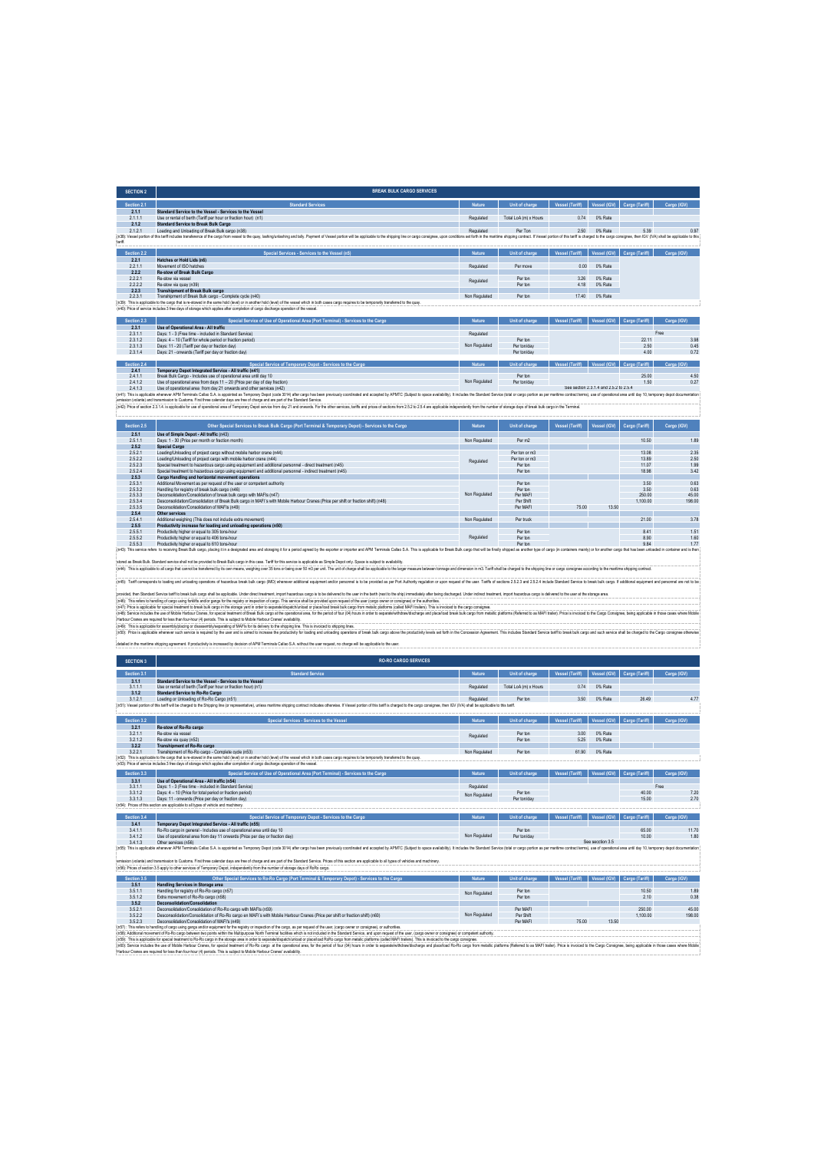| <b>SECTION 2</b>     | <b>BREAK BULK CARGO SERVICES</b>                                                                                                                                                                                                                                                                                                                                                                                                                      |               |                                   |                                                                                |                                        |                             |                                 |
|----------------------|-------------------------------------------------------------------------------------------------------------------------------------------------------------------------------------------------------------------------------------------------------------------------------------------------------------------------------------------------------------------------------------------------------------------------------------------------------|---------------|-----------------------------------|--------------------------------------------------------------------------------|----------------------------------------|-----------------------------|---------------------------------|
| Section 2.           | <b>Standard Service</b>                                                                                                                                                                                                                                                                                                                                                                                                                               |               | Unit of charge                    | <b>Vessel (Tariff)</b>                                                         | Vessel (IGV)                           |                             |                                 |
| 2.1.1<br>2111        | Standard Service to the Vessel - Services to the Vessel<br>Use or rental of berth (Tariff per hour or fraction hour) (n1)                                                                                                                                                                                                                                                                                                                             | Regulated     | Total LoA (m) x Hours             | 0.74                                                                           | 0% Rate                                |                             |                                 |
| 2.1.2                | <b>Standard Service to Break Bulk Cargo</b>                                                                                                                                                                                                                                                                                                                                                                                                           |               |                                   |                                                                                |                                        |                             |                                 |
| 2.1.2.1              | Loading and Unloading of Break Bulk cargo (n38)<br>(n38): Vessel portion of this tariff includes transference of the cargo from vessel to the quay, lashing/unlashing and tally. Payment of Vessel portion will be accidable to this shipping inte or cargo consignee, upon condi                                                                                                                                                                     | Requlated     | Per Ton                           |                                                                                | 2.50 0% Rate                           | 5.39                        | 0.97                            |
| : tarift             |                                                                                                                                                                                                                                                                                                                                                                                                                                                       |               |                                   |                                                                                |                                        |                             |                                 |
| Section 2.2<br>2.2.1 | Special Services - Services to the Vessel (n5)<br>Hatches or Hold Lids (n6)                                                                                                                                                                                                                                                                                                                                                                           | Nature        | Unit of charge                    | Vessel (Tariff) Vessel (IGV)                                                   |                                        | Cargo (Tariff)              | Carga (IGV                      |
| 2.2.1.1              | Movement of ISO hatches                                                                                                                                                                                                                                                                                                                                                                                                                               | Regulated     | Per move                          | 0.00                                                                           | 0% Rate                                |                             |                                 |
| 2.2.2<br>2.2.2.1     | Re-stow of Break Bulk Cargo<br>Re-stow via vessel                                                                                                                                                                                                                                                                                                                                                                                                     |               | Per ton                           | 3.26                                                                           | 0% Rate                                |                             |                                 |
| 2.2.2.2<br>2.2.3     | Re-stow via quav (n39)<br><b>Transhipment of Break Bulk cargo</b>                                                                                                                                                                                                                                                                                                                                                                                     | Regulated     | Per ton                           | 4.18                                                                           | 0% Rate                                |                             |                                 |
| 2.2.3.1              | Transhipment of Break Bulk cargo - Complete cycle (n40)                                                                                                                                                                                                                                                                                                                                                                                               | Non Regulated | Per ton                           | 17.40                                                                          | 0% Rate                                |                             |                                 |
|                      | (n39): This is applicable to the cargo that is re-stowed in the same hold (level) or in another hold (level) of the vessel which in both cases cargo requires to be temporarily transferred to the quay<br>(n40): Price of service includes 3 free days of storage which applies after completion of cargo discharge operation of the vesse                                                                                                           |               |                                   |                                                                                |                                        |                             |                                 |
| Section 2.3          | Special Service of Use of Operational Area (Port Terminal) - Services to the Cargo                                                                                                                                                                                                                                                                                                                                                                    |               |                                   | Unit of charge   Vessel (Tariff)   Vessel (IGV)   Cargo (Tariff)   Carga (IGV) |                                        |                             |                                 |
| 2.3.1                | Use of Operational Area - All traffic                                                                                                                                                                                                                                                                                                                                                                                                                 |               |                                   |                                                                                |                                        |                             |                                 |
| 2.3.1.1<br>2.3.1.2   | Davs: 1 - 3 (Free time - included in Standard Service)<br>Davs: 4 - 10 (Tariff for whole period or fraction period)                                                                                                                                                                                                                                                                                                                                   | Regulated     | Per ton                           |                                                                                |                                        | 22.11                       | 3.98                            |
| 2.3.1.3              | Days: 11 - 20 (Tariff per day or fraction day)                                                                                                                                                                                                                                                                                                                                                                                                        | Non Regulated | Per ton/day                       |                                                                                |                                        | 2.50                        | 0.45                            |
| 2.3.1.4              | Days: 21 - onwards (Tariff per day or fraction day)                                                                                                                                                                                                                                                                                                                                                                                                   |               | Per ton/day                       |                                                                                |                                        | 4.00                        | 0.72                            |
| Section 2.4<br>2.4.1 | Special Service of Temporary Depot - Services to the Cargo<br>Temporary Depot Integrated Service - All traffic (n41)                                                                                                                                                                                                                                                                                                                                  | Nature        | Unit of charge                    | Vessel (Tariff) Vessel (IGV) Cargo (Tariff)                                    |                                        |                             | Carga (IGV)                     |
| 2.4.1.1              | Break Bulk Cargo - Includes use of operational area until day 10                                                                                                                                                                                                                                                                                                                                                                                      |               | Por ton                           |                                                                                |                                        | 25.00                       | 4.50                            |
| 2.4.1.2<br>2.4.1.3   | Use of operational area from davs 11 - 20 (Price per dav of dav fraction)<br>Use of operational area from day 21 onwards and other services (n42)                                                                                                                                                                                                                                                                                                     | Non Regulated | Per ton/day                       |                                                                                | See section 2.3.1.4 and 2.5.2 to 2.5.4 | 1.50                        | 0.27                            |
|                      | (n41): This is applicable whenever APM Terminals Callao S.A. is appointed as Temporary Depot (code 3014) after cargo has been previously coordinated and accepted by APMTC (Subject to space availability). It includes the St<br>emission (volante) and transmission to Customs. First three calendar days are free of charge and are part of the Standard Service.                                                                                  |               |                                   |                                                                                |                                        |                             |                                 |
|                      | (n42): Price of section 2.3.1.4. is applicable for use of operational area of Temporary Depot service from day 21 and onwards. For the other services, tariffs and prices of sections from 2.5.2 to 2.5.4 are applicable indep                                                                                                                                                                                                                        |               |                                   |                                                                                |                                        |                             |                                 |
|                      |                                                                                                                                                                                                                                                                                                                                                                                                                                                       |               |                                   |                                                                                |                                        |                             |                                 |
| Section 2.5          | Other Special Services to Break Bulk Cargo (Port Terminal & Temporary Depot) - Services to the Cargo                                                                                                                                                                                                                                                                                                                                                  | Nature        | Unit of charge                    | <b>Vessel (Tariff)</b>                                                         | <b>Vessel (IGV)</b>                    | Cargo (Tariff)              | Cargo (IGV)                     |
| 2.5.1<br>2.5.1.1     | Use of Simple Depot - All traffic (n43)<br>Days: 1 - 30 (Price per month or fraction month)                                                                                                                                                                                                                                                                                                                                                           | Non Regulated | Per m2                            |                                                                                |                                        | 10.50                       | 1.89                            |
| 2.5.2                | <b>Special Cargo</b>                                                                                                                                                                                                                                                                                                                                                                                                                                  |               |                                   |                                                                                |                                        |                             |                                 |
| 2.5.2.1<br>2.5.2.2   | Loading/Unloading of project cargo without mobile harbor crane (n44)<br>Loading/Unloading of project cargo with mobile harbor crane (n44)                                                                                                                                                                                                                                                                                                             |               | Per ton or m3<br>Per ton or m3    |                                                                                |                                        | 13.08<br>13.89              | 2.35<br>2.50                    |
| 2.5.2.3<br>2.5.2.4   | Soecial treatment to hazardous cargo using equipment and additional personnel - direct treatment (n45)                                                                                                                                                                                                                                                                                                                                                | Regulated     | Per ton                           |                                                                                |                                        | 11.07                       | 1.99                            |
| 2.5.3                | Special treatment to hazardous cargo using equipment and additional personnel - indirect treatment (n45)<br>Cargo Handling and horizontal movement operations                                                                                                                                                                                                                                                                                         |               | Per ton                           |                                                                                |                                        | 18.98                       | 3.42                            |
| 2.5.3.1<br>2.5.3.2   | Additional Movement as per request of the user or competent authority<br>Handling for registry of break bulk cargo (n46)                                                                                                                                                                                                                                                                                                                              |               | Per ton<br>Per ton                |                                                                                |                                        | 3.50<br>3.50                | 0.63<br>0.63                    |
| 2.5.3.3              | Deconsolidation/Consolidation of break bulk cargo with MAFIs (n47)                                                                                                                                                                                                                                                                                                                                                                                    | Non Regulated | Per MAFI                          |                                                                                |                                        | 250.00                      | 45.00                           |
| 2.5.3.4<br>2535      | Desconsolidation/Consolidation of Break Bulk cargo in MAFI's with Mobile Harbour Cranes (Price per shift or fraction shift) (n48)<br>Deconsolidation/Consolidation of MAFIs (n49)                                                                                                                                                                                                                                                                     |               | Per Shift<br>Per MAFI             | 75.00                                                                          | 13.50                                  | 1,100.00                    | 198.00                          |
| 2.5.4<br>2541        | Other services<br>Additional weighing (This does not include extra movement)                                                                                                                                                                                                                                                                                                                                                                          | Non Regulated | <b>Per truck</b>                  |                                                                                |                                        | 21.00                       | 378                             |
| 2.5.5                | Productivity increase for loading and unloading operations (n50).                                                                                                                                                                                                                                                                                                                                                                                     |               |                                   |                                                                                |                                        |                             |                                 |
| 2551<br>2552         | Productivity higher or equal to 305 tops hour<br>Productivity higher or equal to 406 tons-hour                                                                                                                                                                                                                                                                                                                                                        | Regulated     | Per ton<br>Per ton                |                                                                                |                                        | 8.41<br>8.90                | 1.51<br>1.60                    |
| 2553                 | Productivity higher or equal to 610 tons-hour<br>(n43): This service relers to receiving Break Bulk cargo, placing it in a designated area and storaging it for a period agreed by the exporter or importer and APM Terminals Callao S.A. This is applicable for Break Bulk car                                                                                                                                                                       |               | Per ton                           |                                                                                |                                        | 9.84                        | 1.77                            |
|                      |                                                                                                                                                                                                                                                                                                                                                                                                                                                       |               |                                   |                                                                                |                                        |                             |                                 |
|                      | stored as Break Bulk. Standard service shall not be provided to Break Bulk cargo in this case. Tariff for this service is applicable as Simple Depot only. Space is subject to availability<br>(n44): This is applicable to all cargo that cannot be transferred by its own means, weighing over 35 tons or being over 50 m3 per unit. The unit of charge shall be applicable to the larger measure between tonnage and dimen                         |               |                                   |                                                                                |                                        |                             |                                 |
|                      | (n45). Taiff corresponds to loading and unicoding operations of hazardous break bulk cargo (IMC) whenever additional equipment and/or personnel is to be provided as per Port Authority regulation or upon request of the user                                                                                                                                                                                                                        |               |                                   |                                                                                |                                        |                             |                                 |
|                      | provided, then Standard Service tariff to break bulk cargo shall be applicable. Under direct treatment, import hazardous cargo is to be delivered to the user in the berth (next to the ship) immediately after being discharg                                                                                                                                                                                                                        |               |                                   |                                                                                |                                        |                             |                                 |
|                      | (n46): This refers to handling of cargo using forklifts and/or gangs for the registry or inspection of cargo. This service shall be provided upon request of the user (cargo owner or consignee) or the authorities<br>(n47): Price is applicable for special treatment to break bulk cargo in the storage yard in order to separate/dispatch/unload or place/bad break bulk cargo from metalic platforms (called MAFI trailers). This is invoiced to |               |                                   |                                                                                |                                        |                             |                                 |
|                      | (n48): Service includes the use of Mobile Harbour Cranes, for special treatment of Break Bulk cargo at the operational area, for the period of four (04) hours in order to separate/withdraw/discharge and place/bask bulk car                                                                                                                                                                                                                        |               |                                   |                                                                                |                                        |                             |                                 |
|                      | Harbour Cranes are required for less than four-hour (4) periods. This is subject to Mobile Harbour Cranes' availability.<br>(n49): This is applicable for assembly/placing or disassembly/separating of MAFIs for its delivery to the shipping line. This is invoiced to shipping lines.                                                                                                                                                              |               |                                   |                                                                                |                                        |                             |                                 |
|                      | (nSI). Price is applicable whenever such service is required by the user and is aimed to increase the productivity for basiling and unicading operations of break bulk cargo above the productivity levels est forth in the Co                                                                                                                                                                                                                        |               |                                   |                                                                                |                                        |                             |                                 |
|                      | detailed in the maritime shipping agreement. If productivity is increased by decision of APM Terminals Callao S.A. without the user request, no charge will be applicable to the user.                                                                                                                                                                                                                                                                |               |                                   |                                                                                |                                        |                             |                                 |
|                      |                                                                                                                                                                                                                                                                                                                                                                                                                                                       |               |                                   |                                                                                |                                        |                             |                                 |
| <b>SECTION 3</b>     | <b>RO-RO CARGO SERVICES</b>                                                                                                                                                                                                                                                                                                                                                                                                                           |               |                                   |                                                                                |                                        |                             |                                 |
| Section 3.1          | <b>Standard Service</b>                                                                                                                                                                                                                                                                                                                                                                                                                               | Nature        | Unit of charge                    | Vessel (Tariff)                                                                |                                        | Vessel (IGV) Cargo (Tariff) | Carga (IGV)                     |
| 3.1.1<br>3.1.1.1     | Standard Service to the Vessel - Services to the Vessel<br>Use or rental of berth (Tariff per hour or fraction hour) (n1)                                                                                                                                                                                                                                                                                                                             | Regulated     | Total LoA (m) x Hours             | 0.74                                                                           | 0% Rate                                |                             |                                 |
| 3.1.2                | Standard Service to Ro-Ro Cargo                                                                                                                                                                                                                                                                                                                                                                                                                       |               |                                   |                                                                                |                                        |                             |                                 |
| 3.1.2.1              | Loading or Unloading of Ro-Ro Cargo (n51)<br>(n51): Vessel portion of this tariff will be charged to the Shipping line (or representative), unless maritime shipping contract indicates otherwise. If Vessel portion of this tariff is charged to the cargo consignee, then                                                                                                                                                                           | Regulated     | Per ton                           | 3.50                                                                           | 0% Rate                                | 26.49                       | 4.77                            |
|                      |                                                                                                                                                                                                                                                                                                                                                                                                                                                       |               |                                   |                                                                                |                                        |                             |                                 |
| Section 3.2<br>3.2.1 | <b>Special Services - Services to the Vest</b><br>Re-stow of Ro-Ro cargo                                                                                                                                                                                                                                                                                                                                                                              | Nature        | Unit of charge                    | Vessel (Tariff) Vessel (IGV)                                                   |                                        | Cargo (Tariff)              | Carga (IGV)                     |
| 3.2.1.1              | Re-stow via vesse                                                                                                                                                                                                                                                                                                                                                                                                                                     | Regulated     | Per ton                           | 3.00                                                                           | 0% Rate                                |                             |                                 |
| 3.2.1.2<br>3.2.2     | Re-stow via quay (n52)<br>Transhipment of Ro-Ro cargo                                                                                                                                                                                                                                                                                                                                                                                                 |               | Per ton                           | 5.25                                                                           | 0% Rate                                |                             |                                 |
| 3.2.2.1              | Transhipment of Ro-Ro cargo - Complete cycle (n53)                                                                                                                                                                                                                                                                                                                                                                                                    | Non Regulated | Per ton                           | 61.90                                                                          | 0% Rate                                |                             |                                 |
|                      | (n52): This is applicable to the cargo that is re-stowed in the same hold (level) or in another hold (level) of the vessel which in both cases cargo requires to be temporarily transferred to the quay<br>(n53): Price of service includes 3 free days of storage which applies after completion of cargo discharge operation of the yesse                                                                                                           |               |                                   |                                                                                |                                        |                             |                                 |
| Section 3.3          | Special Service of Use of Operational Area (Port Terminal) - Services to the Cargo                                                                                                                                                                                                                                                                                                                                                                    | Nature        | <b>Unit of charge</b>             | Vessel (Tariff) Vessel (IGV) Cargo (Tariff)                                    |                                        |                             | Carga (IGV)                     |
| 3.3.1<br>3.3.1.1     | Use of Operational Area - All traffic (n54)                                                                                                                                                                                                                                                                                                                                                                                                           | Regulated     |                                   |                                                                                |                                        |                             | Free                            |
| 3.3.1.2              | Davs: 1 - 3 (Free time - included in Standard Service)<br>Days: 4 - 10 (Price for total period or fraction period)                                                                                                                                                                                                                                                                                                                                    | Non Regulated | Per ton                           |                                                                                |                                        | 40.00                       |                                 |
| 3.3.1.3              | Days: 11 - onwards (Price per day or fraction day)<br>(n54): Prices of this section are applicable to all types of vehicle and machinery.                                                                                                                                                                                                                                                                                                             |               |                                   |                                                                                |                                        | 15.00                       | 2.70                            |
| Section 3.4          |                                                                                                                                                                                                                                                                                                                                                                                                                                                       |               | Unit of charge                    |                                                                                |                                        |                             | Carga (IGV)                     |
| 3.4.1                | Special Service of Temporary Depot - Services to the Carg<br>Temporary Depot Integrated Service - All traffic (n55)                                                                                                                                                                                                                                                                                                                                   |               |                                   | Vessel (Tariff) Vessel (IGV) Cargo (Tariff)                                    |                                        |                             |                                 |
| 3.4.1.1<br>3.4.1.2   | Ro-Ro cargo in general - Includes use of operational area until day 10<br>Use of operational area from day 11 onwards (Price per day or fraction day)                                                                                                                                                                                                                                                                                                 | Non Regulated | Per ton<br>Per ton/day            |                                                                                |                                        | 65.00<br>10.00              | 11.70                           |
| 3.4.1.3              | Other services (n56)                                                                                                                                                                                                                                                                                                                                                                                                                                  |               |                                   |                                                                                | See secction 3.5                       |                             |                                 |
|                      | (n55): This is applicable whenever APM Terminals Callao S.A. is appointed as Temporary Depot (code 3014) after cargo has been previously coordinated and accepted by APMTC (Subject to space availability). It includes the St                                                                                                                                                                                                                        |               |                                   |                                                                                |                                        |                             |                                 |
|                      | emission (volante) and transmission to Customs. First three calendar days are free of charge and are part of the Standard Service. Prices of this section are applicable to all types of vehicles and machinery                                                                                                                                                                                                                                       |               |                                   |                                                                                |                                        |                             |                                 |
|                      | (n56): Prices of section 3.5 apply to other services of Temporary Depot, independently from the number of storage days of RoRo cargo.                                                                                                                                                                                                                                                                                                                 |               |                                   |                                                                                |                                        |                             | 7.20<br>1.80                    |
| Section 3.5<br>3.5.1 | Other Special Services to Ro-Ro Cargo (Port Terminal & Temporary Depot) - Services to the Carg<br><b>Handling Services in Storage area</b>                                                                                                                                                                                                                                                                                                            |               | Unit of charge                    | Vessel (Tariff)   Vessel (IGV)   Cargo (Tariff)                                |                                        |                             | Carga (IGV)                     |
| 3.5.1.1<br>3512      | Handling for registry of Ro-Ro cargo (n57)                                                                                                                                                                                                                                                                                                                                                                                                            | Non Regulated | Per ton                           |                                                                                |                                        | 10.50                       |                                 |
| 3.5.2                | Extra movement of Ro-Ro cargo (n58)<br>Deconsolidation/Consolidation                                                                                                                                                                                                                                                                                                                                                                                  |               | Per ton                           |                                                                                |                                        | 2.10                        |                                 |
| 3521<br>3522<br>3523 | Deconsolidation/Consolidation of Ro-Ro cargo with MAFIs (n59)<br>Desconsolidation/Consolidation of Ro-Ro cargo en MAFI's with Mobile Harbour Cranes (Price per shift or fraction shift) (n60)<br>Deconsolidation/Consolidation of MAFI's (n49)                                                                                                                                                                                                        | Non Regulated | Per MAFI<br>Per Shift<br>Par MAFI | 75.00                                                                          | 13.50                                  | 250.00<br>1,100.00          | 1.89<br>0.38<br>45.00<br>198.00 |

(ri5). Addition movem of Review between boy point with the Multipuppen Multimate last material and the Multimater incomediate incoment of the experimental and the unit of the comparation of the experiment of the state of t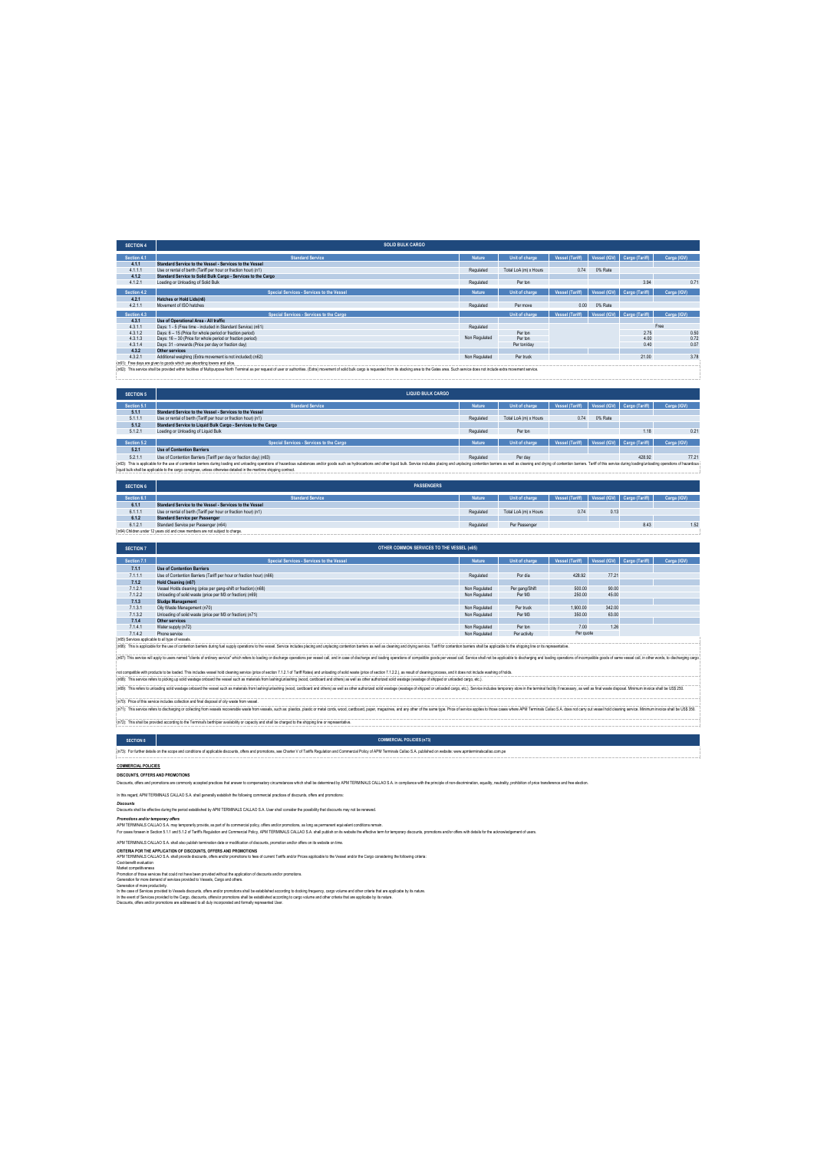|                                                   | SOLID BULK CARGO                                                                                                                                                                                                                                                                                                                                       |               |                       |                                                 |              |                             |              |
|---------------------------------------------------|--------------------------------------------------------------------------------------------------------------------------------------------------------------------------------------------------------------------------------------------------------------------------------------------------------------------------------------------------------|---------------|-----------------------|-------------------------------------------------|--------------|-----------------------------|--------------|
| Section 4.1                                       | <b>Standard Service</b>                                                                                                                                                                                                                                                                                                                                | Nature        | Unit of charge        | Vessel (Tariff)                                 |              | Vessel (IGV) Cargo (Tariff) |              |
| 411                                               | Standard Service to the Vessel - Services to the Vessel                                                                                                                                                                                                                                                                                                |               |                       |                                                 |              |                             |              |
| 4111<br>412                                       | Use or rental of berth (Tariff per hour or fraction hour) (n1)<br>Standard Service to Solid Bulk Cargo - Services to the Cargo                                                                                                                                                                                                                         | Regulated     | Total LoA (m) x Hours | 0.74                                            | 0% Rate      |                             |              |
| 4.1.2.1                                           | Loading or Unloading of Solid Bulk                                                                                                                                                                                                                                                                                                                     | Regulated     | Per ton               |                                                 |              | 3.94                        | 0.71         |
| Section 4.2                                       | Special Services - Services to the Vesse                                                                                                                                                                                                                                                                                                               | Nature        | Unit of charg         | Vessel (Tariff)                                 | Vessel (IGV) | Cargo (Tariff)              | Carga (IGV)  |
| 4.2.1                                             | Hatches or Hold Lids(n6)                                                                                                                                                                                                                                                                                                                               |               |                       | 0.00                                            | 0% Rate      |                             |              |
| 4.2.1.1                                           | Movement of ISO hatches                                                                                                                                                                                                                                                                                                                                | Regulated     | Per move              |                                                 |              |                             |              |
| Section 4.3<br>4.3.1                              | Special Services - Services to the Carge<br>Use of Operational Area - All traffic                                                                                                                                                                                                                                                                      |               | <b>Unit of chard</b>  | Vessel (Tariff) Vessel (IGV) Cargo (Tariff)     |              |                             | Carga (IGV)  |
| 4311                                              | Days: 1 - 5 (Free time - included in Standard Service) (n61)                                                                                                                                                                                                                                                                                           | Regulated     |                       |                                                 |              |                             | Free         |
| 4312<br>4.3.1.3                                   | Days: 6 - 15 (Price for whole neriod or fraction neriod).<br>Days: 16 - 30 (Price for whole period or fraction period)                                                                                                                                                                                                                                 | Non Regulated | Per ton<br>Per ton    |                                                 |              | 275<br>4.00                 | 0.50<br>0.72 |
| 4.3.1.4                                           | Days: 31 - onwards (Price per day or fraction day)                                                                                                                                                                                                                                                                                                     |               | Per ton/day           |                                                 |              | 0.40                        | 0.07         |
| 432<br>4.3.2.1                                    | Other services<br>Additional weighing (Extra movement is not included) (n62)                                                                                                                                                                                                                                                                           | Non Regulated | Per truck             |                                                 |              | 21.00                       | 3.78         |
|                                                   | (n61): Free days are given to goods which use absorbing towers and silos.                                                                                                                                                                                                                                                                              |               |                       |                                                 |              |                             |              |
|                                                   | (n62): This service shall be provided within facilities of Multipurpose North Terminal as per request of user or authorities. (Extra) movement of solid bulk cargo is requested from its stacking area to the Gates area. Such                                                                                                                         |               |                       |                                                 |              |                             |              |
| <b>SECTION 5</b>                                  | <b>LIQUID BULK CARGO</b>                                                                                                                                                                                                                                                                                                                               |               |                       |                                                 |              |                             |              |
| Section 5.1                                       | <b>Standard Service</b>                                                                                                                                                                                                                                                                                                                                | Nature        | Unit of charge        | Vessel (Tariff)   Vessel (IGV)   Cargo (Tariff) |              |                             | Carga (IGV)  |
| 5.1.1                                             | Standard Service to the Vessel - Services to the Vessel                                                                                                                                                                                                                                                                                                |               |                       |                                                 |              |                             |              |
| 5111<br>5.1.2                                     | Use or rental of berth (Tariff per hour or fraction hour) (n1)<br>Standard Service to Liquid Bulk Cargo - Services to the Cargo                                                                                                                                                                                                                        | Regulated     | Total LoA (m) x Hours | 0.74                                            | 0% Rate      |                             |              |
| 5.1.2.1                                           | Loading or Unloading of Liquid Bulk                                                                                                                                                                                                                                                                                                                    | Regulated     | Per ton               |                                                 |              | 1.18                        | 0.21         |
| Section 5.2                                       | Special Services - Services to the Cargo                                                                                                                                                                                                                                                                                                               | Nature        | Unit of charge        | Vessel (Tariff)                                 | Vessel (IGV) | Cargo (Tariff)              | Carga (IGV)  |
| 5.2.1                                             | <b>Use of Contention Barriers</b>                                                                                                                                                                                                                                                                                                                      |               |                       |                                                 |              |                             |              |
| 5211                                              | Use of Contention Barriers (Tariff per day or fraction day) (n63)                                                                                                                                                                                                                                                                                      | Regulated     | Per day               |                                                 |              | 428 Q2                      | 77.21        |
|                                                   | (mS3). This is applicable for the use of contention barriers during loading and unloading operations of hazardous substances and/or goods such as hydrocarbors and other liquid bulk. Service includes placing and unplacing c<br>liquid bulk shall be applicable to the cargo consignee, unless otherwise detailed in the maritime shipping contract. |               |                       |                                                 |              |                             |              |
|                                                   |                                                                                                                                                                                                                                                                                                                                                        |               |                       |                                                 |              |                             |              |
| <b>SECTION 6</b>                                  | <b>PASSENGERS</b>                                                                                                                                                                                                                                                                                                                                      |               |                       |                                                 |              |                             |              |
| Section 6.1                                       | <b>Standard Service</b>                                                                                                                                                                                                                                                                                                                                | Nature        | Unit of charge        | Vessel (Tariff)   Vessel (IGV)   Cargo (Tariff) |              |                             | Carga (IGV)  |
| 6.1.1                                             | Standard Service to the Vessel - Services to the Vessel                                                                                                                                                                                                                                                                                                |               |                       |                                                 |              |                             |              |
| 6.1.1.1                                           | Use or rental of berth (Tariff per hour or fraction bour) (n1)                                                                                                                                                                                                                                                                                         | Regulated     | Total LoA (m) x Hours | 0.74                                            | 0.13         |                             |              |
| 6.1.2<br>6.1.2.1                                  | <b>Standard Service per Passenger</b><br>Standard Service per Passenger (n64)                                                                                                                                                                                                                                                                          | Regulated     | Per Passenger         |                                                 |              | 8.43                        | 1.52         |
|                                                   | (n64) Children under 12 years old and crew members are not subject to charge.                                                                                                                                                                                                                                                                          |               |                       |                                                 |              |                             |              |
|                                                   |                                                                                                                                                                                                                                                                                                                                                        |               |                       |                                                 |              |                             |              |
|                                                   |                                                                                                                                                                                                                                                                                                                                                        |               |                       |                                                 |              |                             |              |
| <b>SECTION 7</b>                                  | OTHER COMMON SERVICES TO THE VESSEL (n65)                                                                                                                                                                                                                                                                                                              |               |                       |                                                 |              |                             |              |
|                                                   |                                                                                                                                                                                                                                                                                                                                                        |               |                       |                                                 |              |                             |              |
| Section 7.1                                       | Special Services - Services to the Vessel                                                                                                                                                                                                                                                                                                              | Nature        | Unit of charge        | Vessel (Tariff)   Vessel (IGV)   Cargo (Tariff) |              |                             | Carga (IGV)  |
| 7.1.1<br>7.1.1.1                                  | <b>Use of Contention Barriers</b><br>Use of Contention Barriers (Tariff per hour or fraction hour) (n66)                                                                                                                                                                                                                                               | Regulated     | Por día               | 428.92                                          | 77.21        |                             |              |
| 7.1.2                                             | Hold Cleaning (n67)                                                                                                                                                                                                                                                                                                                                    |               |                       |                                                 |              |                             |              |
| 7.1.2.1                                           | Vessel Holds cleaning (price per gang-shift or fraction) (n68)                                                                                                                                                                                                                                                                                         | Non Regulated | Per gang/Shift        | 500.00                                          | 90.00        |                             |              |
| 7.1.2.2<br>7.1.3                                  | Unloading of solid waste (price per M3 or fraction) (n69)<br>Sludge Management                                                                                                                                                                                                                                                                         | Non Regulated | Per M3                | 250.00                                          | 45.00        |                             |              |
| 7.1.3.1                                           | Oily Waste Management (n70)                                                                                                                                                                                                                                                                                                                            | Non Regulated | Per truck             | 1,900.00                                        | 342.00       |                             |              |
| 7.1.3.2                                           | Unloading of solid waste (price per M3 or fraction) (n71)                                                                                                                                                                                                                                                                                              | Non Regulated | Per M3                | 350.00                                          | 63.00        |                             |              |
| 7.1.4<br>7141                                     | Other services<br>Water supply (n72)                                                                                                                                                                                                                                                                                                                   | Non Regulated | Per ton               | 7.00                                            | 1.26         |                             |              |
| 7.1.4.2                                           | Phone service                                                                                                                                                                                                                                                                                                                                          | Non Regulated | Per activity          | Per quote                                       |              |                             |              |
| (n65) Services applicable to all type of vessels. |                                                                                                                                                                                                                                                                                                                                                        |               |                       |                                                 |              |                             |              |
|                                                   | (n66): This is applicable for the use of contention barriers during fuel supply operations to the vessel. Service includes placing and unplacing contention barriers as well as cleaning and drying service. Tariff for conten                                                                                                                         |               |                       |                                                 |              |                             |              |
|                                                   | (n67): This service will apply to users named "clents of ordinary service" which refers to loading or discharge operations per vessel call, and in case of discharge and loading perations of compatible poods per vessel call                                                                                                                         |               |                       |                                                 |              |                             |              |
|                                                   | not compatible with products to be loaded. This includes vessel hold deaning service (price of section 7.1.2.1 of Tariff Rates) and unloading of solid waste (price of section 7.1.2.2), as result of deaning process, and it                                                                                                                          |               |                       |                                                 |              |                             |              |
|                                                   | (n68): This service refers to picking up solid wastage onboard the vessel such as materials from lashing/unlashing (wood, cardboard and others) as well as other authorized solid wastage (wastage of shipped or unloaded carg                                                                                                                         |               |                       |                                                 |              |                             |              |
|                                                   | (n69): This refers to unloading solid wastage onboard the vessel such as materials from lashing/unlashing (wood, cardboard and others) as well as other authorized solid wastage (wastage of shipped or unloaded cargo, etc.).                                                                                                                         |               |                       |                                                 |              |                             |              |
|                                                   | (n70): Price of this service includes collection and final discosal of oily waste from vessel                                                                                                                                                                                                                                                          |               |                       |                                                 |              |                             |              |
|                                                   | (n71): This service refers to discharging or collecting from vessels recoverable waste from vessels, such as: plastics, plastic or metal cords, wood, cardboard, paper, magazines, and any other of the same type. Price of se                                                                                                                         |               |                       |                                                 |              |                             |              |
|                                                   | (n72): This shall be provided according to the Terminal's berth/pier availability or capacity and shall be charged to the shipping line or representative.                                                                                                                                                                                             |               |                       |                                                 |              |                             |              |
| <b>SECTION 8</b>                                  | COMMERCIAL POLICIES (n73)                                                                                                                                                                                                                                                                                                                              |               |                       |                                                 |              |                             |              |
|                                                   | (n73): For further details on the scope and conditions of applicable discounts, offers and promotions, see Charter V of Tariffs Regulation and Commercial Policy of APM Terminals Callao S.A. published on website: www.apmter                                                                                                                         |               |                       |                                                 |              |                             |              |

COMMERCIAL POLICIES<br>DISCOUNTS, CFFERS AND PROMOTIONS<br>Discurits, dies and pomotions are commonly accepted particles that areases the compensatory circumstrates which shall be deletionted by APM TERMINAS CALLAO S.A. in compl

### In this regard, APM TERMINALS CALLAO S.A. shall generally establish the following commercial practices of discounts, offers and promotions:

*Discounts* Discounts shall be effective during the period established by APM TERMINALS CALLAO S.A. User shall consider the possibility that discounts may not be renewed.

*Promotions and/or temporary offers*

APN ITSRIMAS CALLO S.A my temporally provide, as part of scormercial placy, APM ITSRIMALS CALLAO S.A shal publish the relations the reflexion for the represent of cores.<br>For case for exact the state of the results of the r

In the case of Services provided to Vessels discounts, offers and/or promotions shall be established according to docking frequency, cargo volume and other oriteria that are applicable by its nature.<br>In the event of Servic

Discounts, offers and/or promotions are addressed to all duly incorporated and formally represented User.